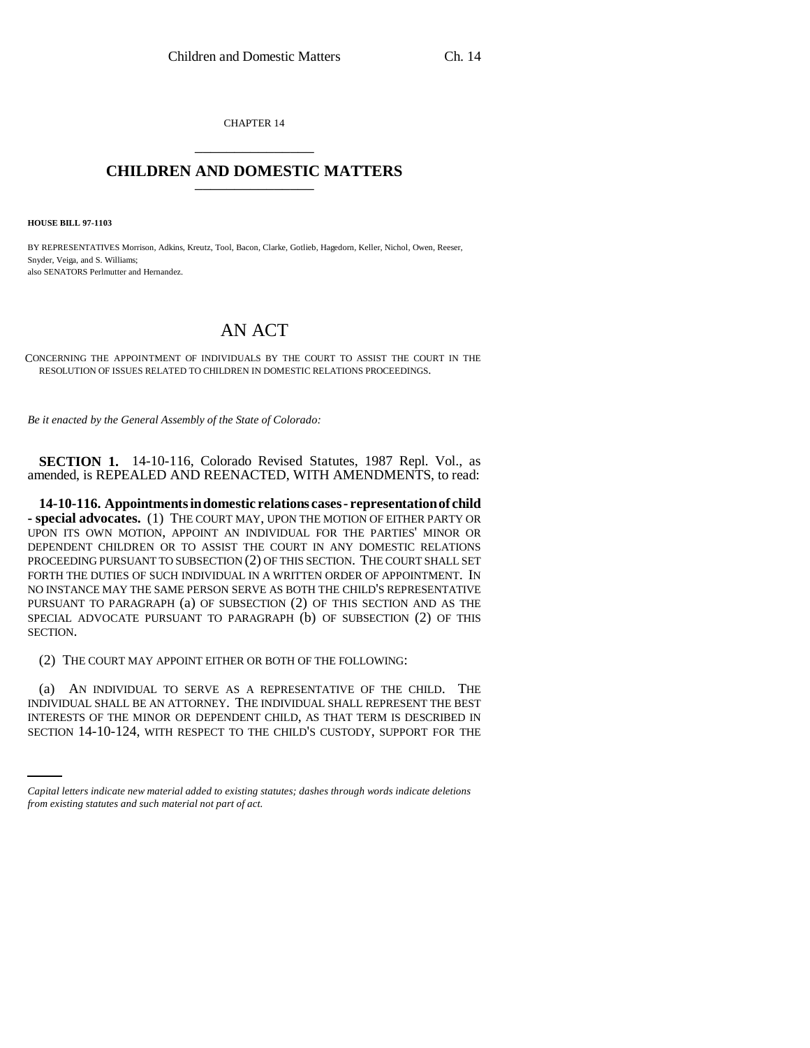CHAPTER 14 \_\_\_\_\_\_\_\_\_\_\_\_\_\_\_

## **CHILDREN AND DOMESTIC MATTERS** \_\_\_\_\_\_\_\_\_\_\_\_\_\_\_

**HOUSE BILL 97-1103**

BY REPRESENTATIVES Morrison, Adkins, Kreutz, Tool, Bacon, Clarke, Gotlieb, Hagedorn, Keller, Nichol, Owen, Reeser, Snyder, Veiga, and S. Williams; also SENATORS Perlmutter and Hernandez.

## AN ACT

CONCERNING THE APPOINTMENT OF INDIVIDUALS BY THE COURT TO ASSIST THE COURT IN THE RESOLUTION OF ISSUES RELATED TO CHILDREN IN DOMESTIC RELATIONS PROCEEDINGS.

*Be it enacted by the General Assembly of the State of Colorado:*

**SECTION 1.** 14-10-116, Colorado Revised Statutes, 1987 Repl. Vol., as amended, is REPEALED AND REENACTED, WITH AMENDMENTS, to read:

**14-10-116. Appointments in domestic relations cases - representation of child - special advocates.** (1) THE COURT MAY, UPON THE MOTION OF EITHER PARTY OR UPON ITS OWN MOTION, APPOINT AN INDIVIDUAL FOR THE PARTIES' MINOR OR DEPENDENT CHILDREN OR TO ASSIST THE COURT IN ANY DOMESTIC RELATIONS PROCEEDING PURSUANT TO SUBSECTION (2) OF THIS SECTION. THE COURT SHALL SET FORTH THE DUTIES OF SUCH INDIVIDUAL IN A WRITTEN ORDER OF APPOINTMENT. IN NO INSTANCE MAY THE SAME PERSON SERVE AS BOTH THE CHILD'S REPRESENTATIVE PURSUANT TO PARAGRAPH (a) OF SUBSECTION (2) OF THIS SECTION AND AS THE SPECIAL ADVOCATE PURSUANT TO PARAGRAPH (b) OF SUBSECTION (2) OF THIS SECTION.

(2) THE COURT MAY APPOINT EITHER OR BOTH OF THE FOLLOWING:

INDIVIDUAL SHALL BE AN ATTORNEY. THE INDIVIDUAL SHALL REPRESENT THE BEST (a) AN INDIVIDUAL TO SERVE AS A REPRESENTATIVE OF THE CHILD. THE INTERESTS OF THE MINOR OR DEPENDENT CHILD, AS THAT TERM IS DESCRIBED IN SECTION 14-10-124, WITH RESPECT TO THE CHILD'S CUSTODY, SUPPORT FOR THE

*Capital letters indicate new material added to existing statutes; dashes through words indicate deletions from existing statutes and such material not part of act.*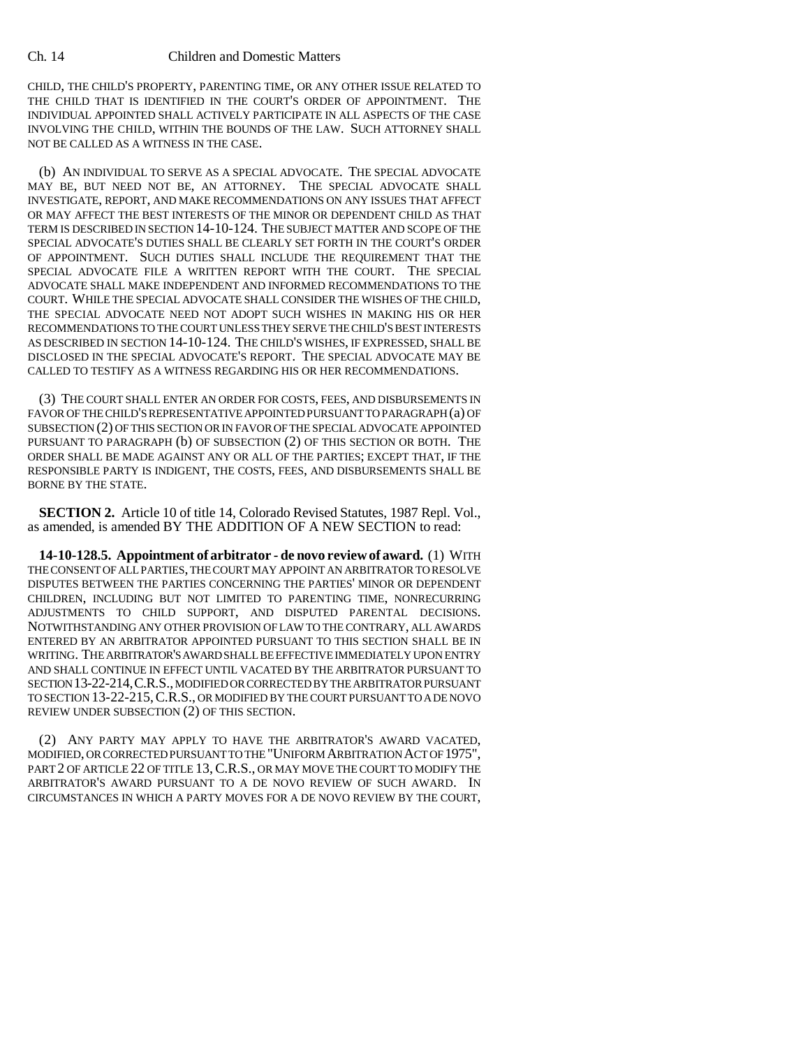## Ch. 14 Children and Domestic Matters

CHILD, THE CHILD'S PROPERTY, PARENTING TIME, OR ANY OTHER ISSUE RELATED TO THE CHILD THAT IS IDENTIFIED IN THE COURT'S ORDER OF APPOINTMENT. THE INDIVIDUAL APPOINTED SHALL ACTIVELY PARTICIPATE IN ALL ASPECTS OF THE CASE INVOLVING THE CHILD, WITHIN THE BOUNDS OF THE LAW. SUCH ATTORNEY SHALL NOT BE CALLED AS A WITNESS IN THE CASE.

(b) AN INDIVIDUAL TO SERVE AS A SPECIAL ADVOCATE. THE SPECIAL ADVOCATE MAY BE, BUT NEED NOT BE, AN ATTORNEY. THE SPECIAL ADVOCATE SHALL INVESTIGATE, REPORT, AND MAKE RECOMMENDATIONS ON ANY ISSUES THAT AFFECT OR MAY AFFECT THE BEST INTERESTS OF THE MINOR OR DEPENDENT CHILD AS THAT TERM IS DESCRIBED IN SECTION 14-10-124. THE SUBJECT MATTER AND SCOPE OF THE SPECIAL ADVOCATE'S DUTIES SHALL BE CLEARLY SET FORTH IN THE COURT'S ORDER OF APPOINTMENT. SUCH DUTIES SHALL INCLUDE THE REQUIREMENT THAT THE SPECIAL ADVOCATE FILE A WRITTEN REPORT WITH THE COURT. THE SPECIAL ADVOCATE SHALL MAKE INDEPENDENT AND INFORMED RECOMMENDATIONS TO THE COURT. WHILE THE SPECIAL ADVOCATE SHALL CONSIDER THE WISHES OF THE CHILD, THE SPECIAL ADVOCATE NEED NOT ADOPT SUCH WISHES IN MAKING HIS OR HER RECOMMENDATIONS TO THE COURT UNLESS THEY SERVE THE CHILD'S BEST INTERESTS AS DESCRIBED IN SECTION 14-10-124. THE CHILD'S WISHES, IF EXPRESSED, SHALL BE DISCLOSED IN THE SPECIAL ADVOCATE'S REPORT. THE SPECIAL ADVOCATE MAY BE CALLED TO TESTIFY AS A WITNESS REGARDING HIS OR HER RECOMMENDATIONS.

(3) THE COURT SHALL ENTER AN ORDER FOR COSTS, FEES, AND DISBURSEMENTS IN FAVOR OF THE CHILD'S REPRESENTATIVE APPOINTED PURSUANT TO PARAGRAPH (a) OF SUBSECTION (2) OF THIS SECTION OR IN FAVOR OF THE SPECIAL ADVOCATE APPOINTED PURSUANT TO PARAGRAPH (b) OF SUBSECTION (2) OF THIS SECTION OR BOTH. THE ORDER SHALL BE MADE AGAINST ANY OR ALL OF THE PARTIES; EXCEPT THAT, IF THE RESPONSIBLE PARTY IS INDIGENT, THE COSTS, FEES, AND DISBURSEMENTS SHALL BE BORNE BY THE STATE.

**SECTION 2.** Article 10 of title 14, Colorado Revised Statutes, 1987 Repl. Vol., as amended, is amended BY THE ADDITION OF A NEW SECTION to read:

**14-10-128.5. Appointment of arbitrator - de novo review of award.** (1) WITH THE CONSENT OF ALL PARTIES, THE COURT MAY APPOINT AN ARBITRATOR TO RESOLVE DISPUTES BETWEEN THE PARTIES CONCERNING THE PARTIES' MINOR OR DEPENDENT CHILDREN, INCLUDING BUT NOT LIMITED TO PARENTING TIME, NONRECURRING ADJUSTMENTS TO CHILD SUPPORT, AND DISPUTED PARENTAL DECISIONS. NOTWITHSTANDING ANY OTHER PROVISION OF LAW TO THE CONTRARY, ALL AWARDS ENTERED BY AN ARBITRATOR APPOINTED PURSUANT TO THIS SECTION SHALL BE IN WRITING. THE ARBITRATOR'S AWARD SHALL BE EFFECTIVE IMMEDIATELY UPON ENTRY AND SHALL CONTINUE IN EFFECT UNTIL VACATED BY THE ARBITRATOR PURSUANT TO SECTION 13-22-214,C.R.S., MODIFIED OR CORRECTED BY THE ARBITRATOR PURSUANT TO SECTION 13-22-215,C.R.S., OR MODIFIED BY THE COURT PURSUANT TO A DE NOVO REVIEW UNDER SUBSECTION (2) OF THIS SECTION.

(2) ANY PARTY MAY APPLY TO HAVE THE ARBITRATOR'S AWARD VACATED, MODIFIED, OR CORRECTED PURSUANT TO THE "UNIFORM ARBITRATION ACT OF 1975", PART 2 OF ARTICLE 22 OF TITLE 13,C.R.S., OR MAY MOVE THE COURT TO MODIFY THE ARBITRATOR'S AWARD PURSUANT TO A DE NOVO REVIEW OF SUCH AWARD. IN CIRCUMSTANCES IN WHICH A PARTY MOVES FOR A DE NOVO REVIEW BY THE COURT,